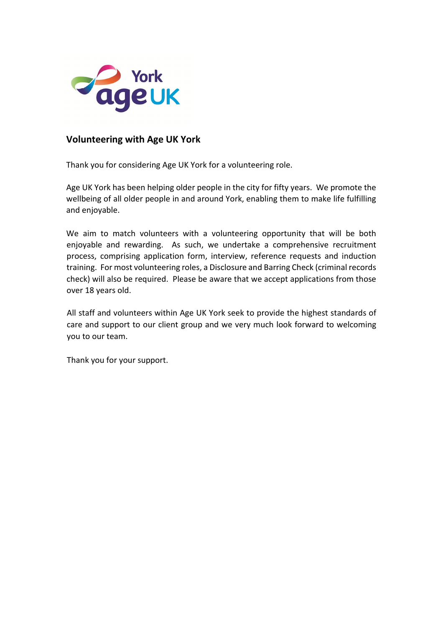

# **Volunteering with Age UK York**

Thank you for considering Age UK York for a volunteering role.

Age UK York has been helping older people in the city for fifty years. We promote the wellbeing of all older people in and around York, enabling them to make life fulfilling and enjoyable.

We aim to match volunteers with a volunteering opportunity that will be both enjoyable and rewarding. As such, we undertake a comprehensive recruitment process, comprising application form, interview, reference requests and induction training. For most volunteering roles, a Disclosure and Barring Check (criminal records check) will also be required. Please be aware that we accept applications from those over 18 years old.

All staff and volunteers within Age UK York seek to provide the highest standards of care and support to our client group and we very much look forward to welcoming you to our team.

Thank you for your support.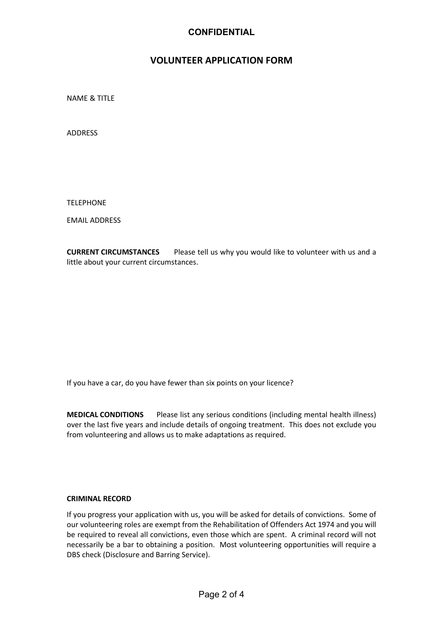## **CONFIDENTIAL**

# **VOLUNTEER APPLICATION FORM**

NAME & TITLE

ADDRESS

TELEPHONE

EMAIL ADDRESS

**CURRENT CIRCUMSTANCES** Please tell us why you would like to volunteer with us and a little about your current circumstances.

If you have a car, do you have fewer than six points on your licence?

**MEDICAL CONDITIONS** Please list any serious conditions (including mental health illness) over the last five years and include details of ongoing treatment. This does not exclude you from volunteering and allows us to make adaptations as required.

### **CRIMINAL RECORD**

If you progress your application with us, you will be asked for details of convictions. Some of our volunteering roles are exempt from the Rehabilitation of Offenders Act 1974 and you will be required to reveal all convictions, even those which are spent. A criminal record will not necessarily be a bar to obtaining a position. Most volunteering opportunities will require a DBS check (Disclosure and Barring Service).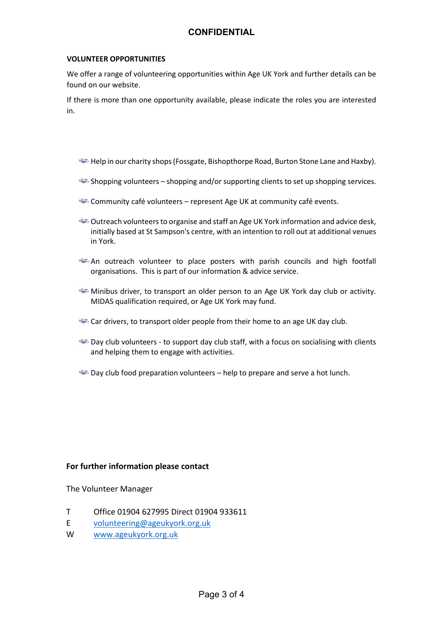## **CONFIDENTIAL**

### **VOLUNTEER OPPORTUNITIES**

We offer a range of volunteering opportunities within Age UK York and further details can be found on our website.

If there is more than one opportunity available, please indicate the roles you are interested in.

- Help in our charity shops (Fossgate, Bishopthorpe Road, Burton Stone Lane and Haxby).
- Shopping volunteers shopping and/or supporting clients to set up shopping services.
- **PROPERTY COMMUNITY CAFÉ VOlunteers represent Age UK at community café events.**
- Outreach volunteers to organise and staff an Age UK York information and advice desk, initially based at St Sampson's centre, with an intention to roll out at additional venues in York.
- An outreach volunteer to place posters with parish councils and high footfall organisations. This is part of our information & advice service.
- Minibus driver, to transport an older person to an Age UK York day club or activity. MIDAS qualification required, or Age UK York may fund.
- **Car drivers, to transport older people from their home to an age UK day club.**
- Day club volunteers to support day club staff, with a focus on socialising with clients and helping them to engage with activities.
- Day club food preparation volunteers help to prepare and serve a hot lunch.

### **For further information please contact**

The Volunteer Manager

- T Office 01904 627995 Direct 01904 933611
- E [volunteering@ageukyork.org.uk](mailto:volunteering@ageukyork.org.uk)
- W [www.ageukyork.org.uk](http://www.ageukyork.org.uk/)